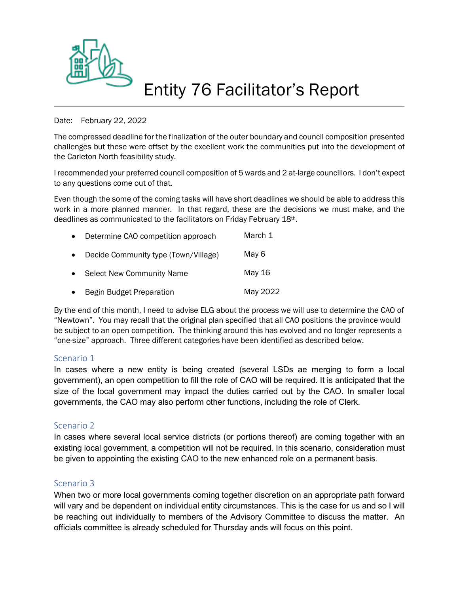

## Entity 76 Facilitator's Report

#### Date: February 22, 2022

The compressed deadline for the finalization of the outer boundary and council composition presented challenges but these were offset by the excellent work the communities put into the development of the Carleton North feasibility study.

I recommended your preferred council composition of 5 wards and 2 at-large councillors. I don't expect to any questions come out of that.

Even though the some of the coming tasks will have short deadlines we should be able to address this work in a more planned manner. In that regard, these are the decisions we must make, and the deadlines as communicated to the facilitators on Friday February 18th.

| $\bullet$ | Determine CAO competition approach   | March 1  |
|-----------|--------------------------------------|----------|
| $\bullet$ | Decide Community type (Town/Village) | May 6    |
| $\bullet$ | <b>Select New Community Name</b>     | May 16   |
| $\bullet$ | Begin Budget Preparation             | May 2022 |

By the end of this month, I need to advise ELG about the process we will use to determine the CAO of "Newtown". You may recall that the original plan specified that all CAO positions the province would be subject to an open competition. The thinking around this has evolved and no longer represents a "one-size" approach. Three different categories have been identified as described below.

#### Scenario 1

In cases where a new entity is being created (several LSDs ae merging to form a local government), an open competition to fill the role of CAO will be required. It is anticipated that the size of the local government may impact the duties carried out by the CAO. In smaller local governments, the CAO may also perform other functions, including the role of Clerk.

## Scenario 2

In cases where several local service districts (or portions thereof) are coming together with an existing local government, a competition will not be required. In this scenario, consideration must be given to appointing the existing CAO to the new enhanced role on a permanent basis.

## Scenario 3

When two or more local governments coming together discretion on an appropriate path forward will vary and be dependent on individual entity circumstances. This is the case for us and so I will be reaching out individually to members of the Advisory Committee to discuss the matter. An officials committee is already scheduled for Thursday ands will focus on this point.